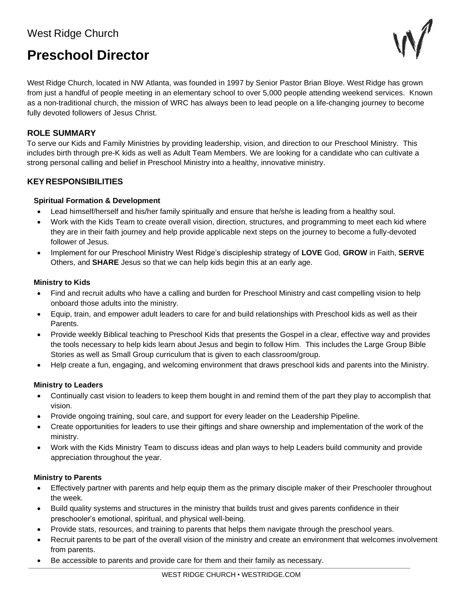# West Ridge Church

# **Preschool Director**



West Ridge Church, located in NW Atlanta, was founded in 1997 by Senior Pastor Brian Bloye. West Ridge has grown from just a handful of people meeting in an elementary school to over 5,000 people attending weekend services. Known as a non-traditional church, the mission of WRC has always been to lead people on a life-changing journey to become fully devoted followers of Jesus Christ.

# **ROLE SUMMARY**

To serve our Kids and Family Ministries by providing leadership, vision, and direction to our Preschool Ministry. This includes birth through pre-K kids as well as Adult Team Members. We are looking for a candidate who can cultivate a strong personal calling and belief in Preschool Ministry into a healthy, innovative ministry.

# **KEY RESPONSIBILITIES**

# **Spiritual Formation & Development**

- Lead himself/herself and his/her family spiritually and ensure that he/she is leading from a healthy soul.
- Work with the Kids Team to create overall vision, direction, structures, and programming to meet each kid where they are in their faith journey and help provide applicable next steps on the journey to become a fully-devoted follower of Jesus.
- Implement for our Preschool Ministry West Ridge's discipleship strategy of **LOVE** God, **GROW** in Faith, **SERVE** Others, and **SHARE** Jesus so that we can help kids begin this at an early age.

#### **Ministry to Kids**

- Find and recruit adults who have a calling and burden for Preschool Ministry and cast compelling vision to help onboard those adults into the ministry.
- Equip, train, and empower adult leaders to care for and build relationships with Preschool kids as well as their Parents.
- Provide weekly Biblical teaching to Preschool Kids that presents the Gospel in a clear, effective way and provides the tools necessary to help kids learn about Jesus and begin to follow Him. This includes the Large Group Bible Stories as well as Small Group curriculum that is given to each classroom/group.
- Help create a fun, engaging, and welcoming environment that draws preschool kids and parents into the Ministry.

# **Ministry to Leaders**

- Continually cast vision to leaders to keep them bought in and remind them of the part they play to accomplish that vision.
- Provide ongoing training, soul care, and support for every leader on the Leadership Pipeline.
- Create opportunities for leaders to use their giftings and share ownership and implementation of the work of the ministry.
- Work with the Kids Ministry Team to discuss ideas and plan ways to help Leaders build community and provide appreciation throughout the year.

#### **Ministry to Parents**

- Effectively partner with parents and help equip them as the primary disciple maker of their Preschooler throughout the week.
- Build quality systems and structures in the ministry that builds trust and gives parents confidence in their preschooler's emotional, spiritual, and physical well-being.
- Provide stats, resources, and training to parents that helps them navigate through the preschool years.
- Recruit parents to be part of the overall vision of the ministry and create an environment that welcomes involvement from parents.
- Be accessible to parents and provide care for them and their family as necessary.